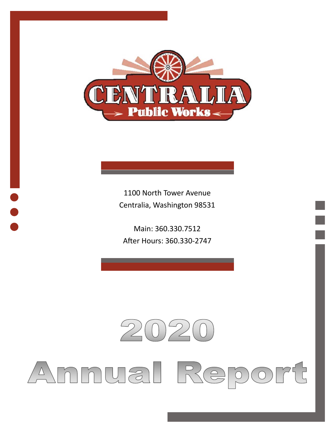

1100 North Tower Avenue Centralia, Washington 98531

Main: 360.330.7512 After Hours: 360.330-2747

### $\mathcal{P}$  $(0)$  2

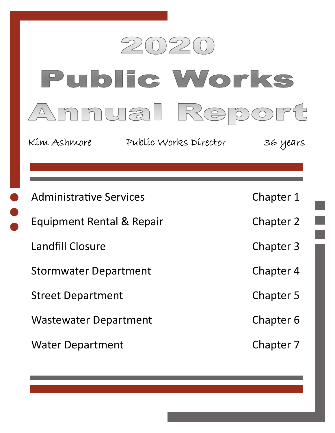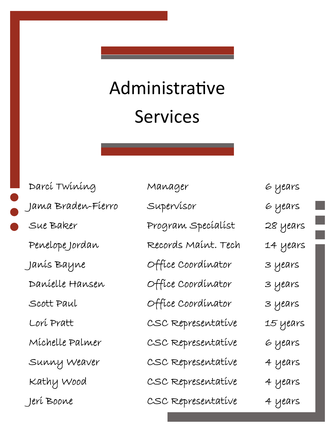# Administrative Services

| Darcí Twining      | Manager             | 6 years  |
|--------------------|---------------------|----------|
| Jama Braden-Fierro | Supervisor          | 6 years  |
| Sue Baker          | Program Specíalíst  | 28 years |
| Penelope Jordan    | Records Maínt. Tech | 14 years |
| Janís Bayne        | Office Coordinator  | 3 years  |
| Danielle Hansen    | Office Coordinator  | 3 years  |
| Scott Paul         | Office Coordinator  | 3 years  |
| Lorí Pratt         | CSC Representative  | 15 years |
| Michelle Palmer    | CSC Representative  | 6 years  |
| Sunny Weaver       | CSC Representative  | 4 years  |
| Kathy Wood         | CSC Representative  | 4 years  |
| Jerí Boone         | CSC Representative  | 4 years  |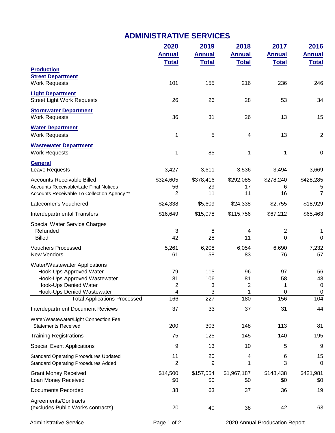### **ADMINISTRATIVE SERVICES**

|                                                                                                                                                 | 2020                            | 2019                 | 2018               | 2017                | 2016                                           |
|-------------------------------------------------------------------------------------------------------------------------------------------------|---------------------------------|----------------------|--------------------|---------------------|------------------------------------------------|
|                                                                                                                                                 | <b>Annual</b>                   | <b>Annual</b>        | <b>Annual</b>      | <b>Annual</b>       | <b>Annual</b>                                  |
|                                                                                                                                                 | <b>Total</b>                    | <b>Total</b>         | <b>Total</b>       | <b>Total</b>        | <b>Total</b>                                   |
| <b>Production</b><br><b>Street Department</b><br><b>Work Requests</b>                                                                           | 101                             | 155                  | 216                | 236                 | 246                                            |
| <b>Light Department</b><br><b>Street Light Work Requests</b>                                                                                    | 26                              | 26                   | 28                 | 53                  | 34                                             |
| <b>Stormwater Department</b><br><b>Work Requests</b>                                                                                            | 36                              | 31                   | 26                 | 13                  | 15                                             |
| <b>Water Department</b><br><b>Work Requests</b>                                                                                                 | 1                               | 5                    | 4                  | 13                  | $\overline{2}$                                 |
| <b>Wastewater Department</b><br><b>Work Requests</b>                                                                                            | 1                               | 85                   | 1                  | 1                   | $\pmb{0}$                                      |
| <b>General</b><br>Leave Requests                                                                                                                | 3,427                           | 3,611                | 3,536              | 3,494               | 3,669                                          |
| <b>Accounts Receivable Billed</b>                                                                                                               | \$324,605                       | \$378,416            | \$292,085          | \$278,240           | \$428,285                                      |
| Accounts Receivable/Late Final Notices<br>Accounts Receivable To Collection Agency **                                                           | 56<br>2                         | 29<br>11             | 17<br>11           | 6<br>16             | 5<br>$\overline{7}$                            |
| Latecomer's Vouchered                                                                                                                           | \$24,338                        | \$5,609              | \$24,338           | \$2,755             | \$18,929                                       |
| <b>Interdepartmental Transfers</b>                                                                                                              | \$16,649                        | \$15,078             | \$115,756          | \$67,212            | \$65,463                                       |
| Special Water Service Charges<br>Refunded<br><b>Billed</b>                                                                                      | 3<br>42                         | 8<br>28              | 4<br>11            | $\overline{2}$<br>0 | 1<br>0                                         |
| <b>Vouchers Processed</b><br>New Vendors                                                                                                        | 5,261<br>61                     | 6,208<br>58          | 6,054<br>83        | 6,690<br>76         | 7,232<br>57                                    |
| Water/Wastewater Applications<br>Hook-Ups Approved Water<br>Hook-Ups Approved Wastewater<br>Hook-Ups Denied Water<br>Hook-Ups Denied Wastewater | 79<br>81<br>$\overline{c}$<br>4 | 115<br>106<br>3<br>3 | 96<br>81<br>2<br>1 | 97<br>58<br>1<br>0  | 56<br>48<br>$\boldsymbol{0}$<br>$\overline{0}$ |
| <b>Total Applications Processed</b>                                                                                                             | 166                             | 227                  | 180                | 156                 | 104                                            |
| <b>Interdepartment Document Reviews</b>                                                                                                         | 37                              | 33                   | 37                 | 31                  | 44                                             |
| Water/Wastewater/Light Connection Fee<br><b>Statements Received</b>                                                                             | 200                             | 303                  | 148                | 113                 | 81                                             |
| <b>Training Registrations</b>                                                                                                                   | 75                              | 125                  | 145                | 140                 | 195                                            |
| <b>Special Event Applications</b>                                                                                                               | 9                               | 13                   | 10                 | 5                   | 9                                              |
| <b>Standard Operating Procedures Updated</b><br><b>Standard Operating Procedures Added</b>                                                      | 11<br>$\overline{2}$            | 20<br>9              | 4<br>1             | 6<br>3              | 15<br>$\mathbf 0$                              |
| <b>Grant Money Received</b><br>Loan Money Received                                                                                              | \$14,500<br>\$0                 | \$157,554<br>\$0     | \$1,967,187<br>\$0 | \$148,438<br>\$0    | \$421,981<br>\$0                               |
| <b>Documents Recorded</b>                                                                                                                       | 38                              | 63                   | 37                 | 36                  | 19                                             |
| Agreements/Contracts<br>(excludes Public Works contracts)                                                                                       | 20                              | 40                   | 38                 | 42                  | 63                                             |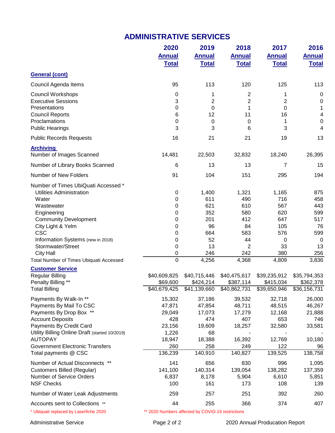#### **ADMINISTRATIVE SERVICES**

|                                                        | 2020<br><b>Annual</b>                             | 2019<br><b>Annual</b>            | 2018<br><b>Annual</b>                 | 2017<br><b>Annual</b>     | 2016<br><b>Annual</b>                       |
|--------------------------------------------------------|---------------------------------------------------|----------------------------------|---------------------------------------|---------------------------|---------------------------------------------|
|                                                        | <b>Total</b>                                      | <b>Total</b>                     | <b>Total</b>                          | <b>Total</b>              | <b>Total</b>                                |
| <b>General (cont)</b>                                  |                                                   |                                  |                                       |                           |                                             |
| Council Agenda Items                                   | 95                                                | 113                              | 120                                   | 125                       | 113                                         |
| Council Workshops                                      | 0                                                 | 1                                | 2                                     | 1                         | 0                                           |
| <b>Executive Sessions</b>                              | 3                                                 | 2                                | 2                                     | $\overline{2}$            | 0                                           |
| Presentations                                          | 0                                                 | 0                                | 1                                     | 0                         | $\mathbf{1}$                                |
| <b>Council Reports</b><br>Proclamations                | 6                                                 | 12                               | 11                                    | 16                        | 4                                           |
| <b>Public Hearings</b>                                 | 0<br>3                                            | 0<br>3                           | 0<br>6                                | 1<br>3                    | $\boldsymbol{0}$<br>$\overline{\mathbf{4}}$ |
| <b>Public Records Requests</b>                         | 16                                                | 21                               | 21                                    | 19                        | 13                                          |
| <b>Archiving</b>                                       |                                                   |                                  |                                       |                           |                                             |
| Number of Images Scanned                               | 14,481                                            | 22,503                           | 32,832                                | 18,240                    | 26,395                                      |
| Number of Library Books Scanned                        | 6                                                 | 13                               | 13                                    | 7                         | 15                                          |
| Number of New Folders                                  | 91                                                | 104                              | 151                                   | 295                       | 194                                         |
| Number of Times UbiQuati Accessed *                    |                                                   |                                  |                                       |                           |                                             |
| <b>Utilities Administration</b>                        | 0                                                 | 1,400                            | 1,321                                 | 1,165                     | 875                                         |
| Water                                                  | 0                                                 | 611                              | 490                                   | 716                       | 458                                         |
| Wastewater                                             | 0                                                 | 621                              | 610                                   | 567<br>620                | 443                                         |
| Engineering<br><b>Community Development</b>            | 0<br>0                                            | 352<br>201                       | 580<br>412                            | 647                       | 599<br>517                                  |
| City Light & Yelm                                      | 0                                                 | 96                               | 84                                    | 105                       | 76                                          |
| <b>CSC</b>                                             | 0                                                 | 664                              | 583                                   | 576                       | 599                                         |
| Information Systems (new in 2018)                      | 0                                                 | 52                               | 44                                    | 0                         | $\mathbf 0$                                 |
| Stormwater/Street                                      | 0                                                 | 13                               | 2                                     | 33                        | 13                                          |
| <b>City Hall</b>                                       | 0                                                 | 246                              | 242                                   | 380                       | 256                                         |
| Total Number of Times Ubiquati Accessed                | $\overline{0}$                                    | 4,256                            | 4,368                                 | 4,809                     | 3,836                                       |
| <b>Customer Service</b>                                |                                                   |                                  |                                       |                           |                                             |
| <b>Regular Billing</b>                                 | \$40,609,825                                      | \$40,715,446                     | \$40,475,617                          | \$39,235,912              | \$35,794,353                                |
| Penalty Billing **<br><b>Total Billing</b>             | \$69,600<br>\$40,679,425                          | \$424,214<br>$\sqrt{41,139,660}$ | \$387,114<br>$\overline{$40,862,731}$ | \$415,034<br>\$39,650,946 | \$362,378<br>$\overline{$36,156,731}$       |
| Payments By Walk-In **                                 | 15,302                                            | 37,186                           | 39,532                                | 32,718                    | 26,000                                      |
| Payments By Mail To CSC                                | 47,871                                            | 47,854                           | 48,711                                | 48,515                    | 46,267                                      |
| Payments By Drop Box **                                | 29,049                                            | 17,073                           | 17,279                                | 12,168                    | 21,888                                      |
| <b>Account Deposits</b>                                | 428                                               | 474                              | 407                                   | 653                       | 746                                         |
| Payments By Credit Card                                | 23,156                                            | 19,609                           | 18,257                                | 32,580                    | 33,581                                      |
| Utility Billing Online Draft (started 10/2019)         | 1,226                                             | 68                               |                                       |                           |                                             |
| <b>AUTOPAY</b>                                         | 18,947                                            | 18,388                           | 16,392                                | 12,769                    | 10,180                                      |
| <b>Government Electronic Transfers</b>                 | 260<br>136,239                                    | 258<br>140,910                   | 249<br>140,827                        | 122<br>139,525            | 96<br>138,758                               |
| Total payments @ CSC                                   |                                                   |                                  |                                       |                           |                                             |
| Number of Actual Disconnects **                        | 141                                               | 656                              | 830                                   | 996                       | 1,095                                       |
| Customers Billed (Regular)<br>Number of Service Orders | 141,100<br>6,837                                  | 140,314<br>8,178                 | 139,054<br>5,904                      | 138,282<br>6,610          | 137,359<br>5,851                            |
| <b>NSF Checks</b>                                      | 100                                               | 161                              | 173                                   | 108                       | 139                                         |
| Number of Water Leak Adjustments                       | 259                                               | 257                              | 251                                   | 392                       | 260                                         |
| Accounts sent to Collections **                        | 44                                                | 255                              | 366                                   | 374                       | 407                                         |
| * Ubiquati replaced by Laserfiche 2020                 | ** 2020 Numbers affected by COVID-19 restrictions |                                  |                                       |                           |                                             |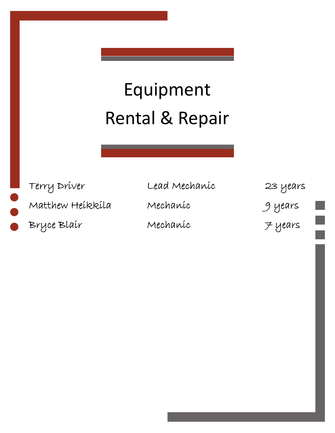## Equipment Rental & Repair

Matthew Heikkila Mechanic 9 years

Bryce Blair Mechanic 7 years

Terry Driver Lead Mechanic 23 years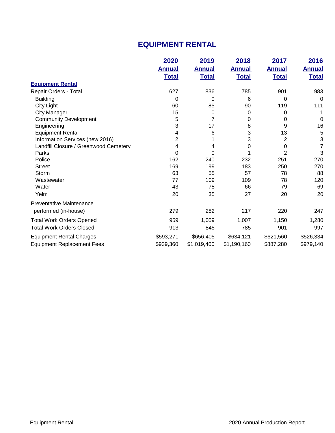### **EQUIPMENT RENTAL**

|                                       | 2020          | 2019          | 2018          | 2017           | 2016          |
|---------------------------------------|---------------|---------------|---------------|----------------|---------------|
|                                       | <b>Annual</b> | <b>Annual</b> | <b>Annual</b> | <b>Annual</b>  | <b>Annual</b> |
|                                       | <b>Total</b>  | <b>Total</b>  | <b>Total</b>  | <b>Total</b>   | <b>Total</b>  |
| <b>Equipment Rental</b>               |               |               |               |                |               |
| Repair Orders - Total                 | 627           | 836           | 785           | 901            | 983           |
| <b>Building</b>                       | 0             | 0             | 6             | 0              | 0             |
| City Light                            | 60            | 85            | 90            | 119            | 111           |
| <b>City Manager</b>                   | 15            | $\mathbf 0$   | 0             | 0              |               |
| <b>Community Development</b>          | 5             | 7             | 0             | 0              | 0             |
| Engineering                           | 3             | 17            | 8             | 9              | 16            |
| <b>Equipment Rental</b>               | 4             | 6             | 3             | 13             | 5             |
| Information Services (new 2016)       | 2             |               | 3             | 2              | 3             |
| Landfill Closure / Greenwood Cemetery | 4             | 4             | 0             | 0              | 7             |
| Parks                                 | 0             | 0             |               | $\overline{2}$ | 3             |
| Police                                | 162           | 240           | 232           | 251            | 270           |
| <b>Street</b>                         | 169           | 199           | 183           | 250            | 270           |
| Storm                                 | 63            | 55            | 57            | 78             | 88            |
| Wastewater                            | 77            | 109           | 109           | 78             | 120           |
| Water                                 | 43            | 78            | 66            | 79             | 69            |
| Yelm                                  | 20            | 35            | 27            | 20             | 20            |
| <b>Preventative Maintenance</b>       |               |               |               |                |               |
| performed (in-house)                  | 279           | 282           | 217           | 220            | 247           |
| <b>Total Work Orders Opened</b>       | 959           | 1,059         | 1,007         | 1,150          | 1,280         |
| <b>Total Work Orders Closed</b>       | 913           | 845           | 785           | 901            | 997           |
| <b>Equipment Rental Charges</b>       | \$593,271     | \$656,405     | \$634,121     | \$621,560      | \$526,334     |
| <b>Equipment Replacement Fees</b>     | \$939,360     | \$1,019,400   | \$1,190,160   | \$887,280      | \$979,140     |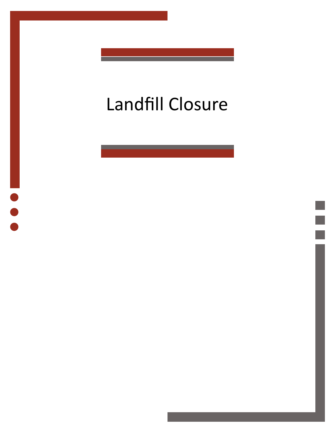## Landfill Closure



 $\begin{array}{c} \bullet \\ \bullet \\ \bullet \end{array}$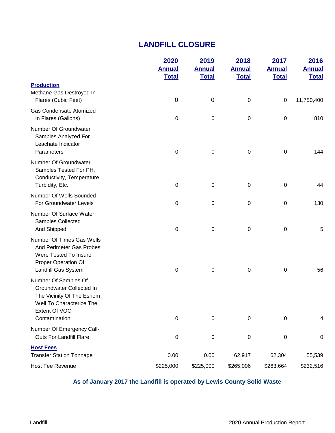#### **LANDFILL CLOSURE**

|                                                                                                                                             | 2020<br><b>Annual</b><br><b>Total</b> | 2019<br><b>Annual</b><br><b>Total</b> | 2018<br><b>Annual</b><br><b>Total</b> | 2017<br><b>Annual</b><br><b>Total</b> | 2016<br><b>Annual</b><br><b>Total</b> |
|---------------------------------------------------------------------------------------------------------------------------------------------|---------------------------------------|---------------------------------------|---------------------------------------|---------------------------------------|---------------------------------------|
| <b>Production</b><br>Methane Gas Destroyed In<br>Flares (Cubic Feet)                                                                        | $\mathbf 0$                           | $\boldsymbol{0}$                      | 0                                     | $\mathbf 0$                           | 11,750,400                            |
| <b>Gas Condensate Atomized</b><br>In Flares (Gallons)                                                                                       | $\boldsymbol{0}$                      | $\pmb{0}$                             | 0                                     | 0                                     | 810                                   |
| Number Of Groundwater<br>Samples Analyzed For<br>Leachate Indicator<br>Parameters                                                           | $\boldsymbol{0}$                      | $\pmb{0}$                             | 0                                     | $\boldsymbol{0}$                      | 144                                   |
| Number Of Groundwater<br>Samples Tested For PH,<br>Conductivity, Temperature,<br>Turbidity, Etc.                                            | $\boldsymbol{0}$                      | $\boldsymbol{0}$                      | $\mathbf 0$                           | $\mathbf 0$                           | 44                                    |
| Number Of Wells Sounded<br>For Groundwater Levels                                                                                           | $\boldsymbol{0}$                      | $\mathbf 0$                           | $\pmb{0}$                             | $\boldsymbol{0}$                      | 130                                   |
| Number Of Surface Water<br>Samples Collected<br>And Shipped                                                                                 | $\pmb{0}$                             | $\boldsymbol{0}$                      | $\pmb{0}$                             | $\pmb{0}$                             | $\sqrt{5}$                            |
| <b>Number Of Times Gas Wells</b><br>And Perimeter Gas Probes<br>Were Tested To Insure<br>Proper Operation Of<br>Landfill Gas System         | $\boldsymbol{0}$                      | $\pmb{0}$                             | $\mathbf 0$                           | $\mathbf 0$                           | 56                                    |
| Number Of Samples Of<br>Groundwater Collected In<br>The Vicinity Of The Eshom<br>Well To Characterize The<br>Extent Of VOC<br>Contamination | $\boldsymbol{0}$                      | $\mathbf 0$                           | $\mathbf 0$                           | $\mathbf 0$                           | 4                                     |
| Number Of Emergency Call-<br><b>Outs For Landfill Flare</b>                                                                                 | 0                                     | $\pmb{0}$                             | $\pmb{0}$                             | $\pmb{0}$                             | $\pmb{0}$                             |
| <b>Host Fees</b><br><b>Transfer Station Tonnage</b>                                                                                         | 0.00                                  | 0.00                                  | 62,917                                | 62,304                                | 55,539                                |
| Host Fee Revenue                                                                                                                            | \$225,000                             | \$225,000                             | \$265,006                             | \$263,664                             | \$232,516                             |

#### **As of January 2017 the Landfill is operated by Lewis County Solid Waste**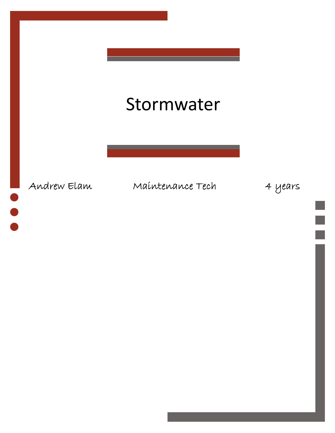### Stormwater

 $\bullet$ 

Andrew Elam Maintenance Tech 4 years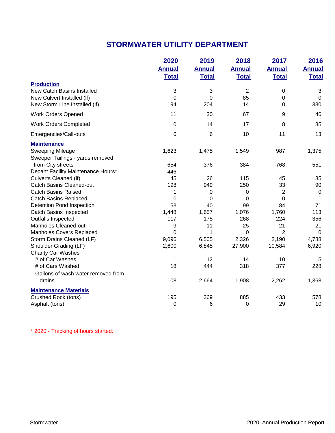### **STORMWATER UTILITY DEPARTMENT**

|                                    | 2020          | 2019          | 2018          | 2017           | 2016          |
|------------------------------------|---------------|---------------|---------------|----------------|---------------|
|                                    | <b>Annual</b> | <b>Annual</b> | <b>Annual</b> | <b>Annual</b>  | <b>Annual</b> |
|                                    | <b>Total</b>  | <b>Total</b>  | <b>Total</b>  | <b>Total</b>   | <b>Total</b>  |
| <b>Production</b>                  |               |               |               |                |               |
| <b>New Catch Basins Installed</b>  | 3             | 3             | 2             | 0              | 3             |
| New Culvert Installed (If)         | $\mathbf 0$   | $\mathbf 0$   | 85            | 0              | $\mathbf 0$   |
| New Storm Line Installed (If)      | 194           | 204           | 14            | 0              | 330           |
| <b>Work Orders Opened</b>          | 11            | 30            | 67            | 9              | 46            |
| <b>Work Orders Completed</b>       | 0             | 14            | 17            | 8              | 35            |
| Emergencies/Call-outs              | 6             | 6             | 10            | 11             | 13            |
| <b>Maintenance</b>                 |               |               |               |                |               |
| <b>Sweeping Mileage</b>            | 1,623         | 1,475         | 1,549         | 987            | 1,375         |
| Sweeper Tailings - yards removed   |               |               |               |                |               |
| from City streets                  | 654           | 376           | 384           | 768            | 551           |
| Decant Facility Maintenance Hours* | 446           |               |               |                |               |
| <b>Culverts Cleaned (If)</b>       | 45            | 26            | 115           | 45             | 85            |
| <b>Catch Basins Cleaned-out</b>    | 198           | 949           | 250           | 33             | 90            |
| <b>Catch Basins Raised</b>         | 1             | 0             | 0             | 2              | 0             |
| <b>Catch Basins Replaced</b>       | 0             | $\Omega$      | 0             | $\Omega$       | 1             |
| Detention Pond Inspection          | 53            | 40            | 99            | 84             | 71            |
| <b>Catch Basins Inspected</b>      | 1,448         | 1,657         | 1,076         | 1,760          | 113           |
| Outfalls Inspected                 | 117           | 175           | 268           | 224            | 356           |
| Manholes Cleaned-out               | 9             | 11            | 25            | 21             | 21            |
| Manholes Covers Replaced           | $\Omega$      | 1             | $\Omega$      | $\overline{2}$ | $\Omega$      |
| Storm Drains Cleaned (LF)          | 9,096         | 6,505         | 2,326         | 2,190          | 4,788         |
| Shoulder Grading (LF)              | 2,600         | 6,845         | 27,900        | 10,584         | 6,920         |
| <b>Charity Car Washes</b>          |               |               |               |                |               |
| # of Car Washes                    | 1             | 12            | 14            | 10             | 5             |
| # of Cars Washed                   | 18            | 444           | 318           | 377            | 228           |
| Gallons of wash water removed from |               |               |               |                |               |
| drains                             | 108           | 2,664         | 1,908         | 2,262          | 1,368         |
| <b>Maintenance Materials</b>       |               |               |               |                |               |
| Crushed Rock (tons)                | 195           | 369           | 885           | 433            | 578           |
| Asphalt (tons)                     | 0             | 6             | 0             | 29             | 10            |

\* 2020 - Tracking of hours started.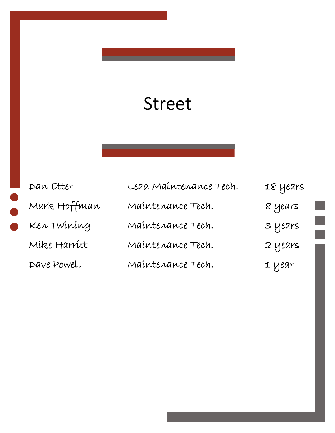### Street

| Dan Etter    | Lead Maintenance Tech. | 18 years |
|--------------|------------------------|----------|
| Mark Hoffman | Maintenance Tech.      | 8 years  |
| Ken Twining  | Maintenance Tech.      | 3 years  |
| Mike Harritt | Maintenance Tech.      | 2 years  |
| Dave Powell  | Maintenance Tech.      | 1 year   |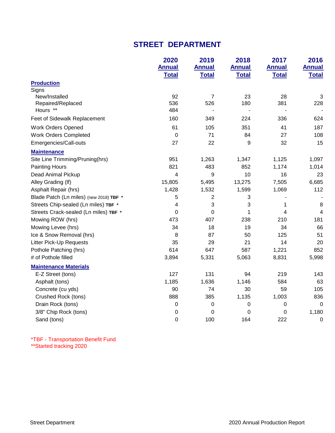#### **STREET DEPARTMENT**

|                                         | 2020                          | 2019                          | 2018                          | 2017                          | 2016                          |
|-----------------------------------------|-------------------------------|-------------------------------|-------------------------------|-------------------------------|-------------------------------|
|                                         | <b>Annual</b><br><b>Total</b> | <b>Annual</b><br><b>Total</b> | <b>Annual</b><br><b>Total</b> | <b>Annual</b><br><b>Total</b> | <b>Annual</b><br><b>Total</b> |
| <b>Production</b>                       |                               |                               |                               |                               |                               |
| Signs                                   |                               |                               |                               |                               |                               |
| New/Installed                           | 92                            | $\overline{7}$                | 23                            | 28                            | 3                             |
| Repaired/Replaced                       | 536                           | 526                           | 180                           | 381                           | 228                           |
| Hours **                                | 484                           |                               |                               |                               |                               |
| Feet of Sidewalk Replacement            | 160                           | 349                           | 224                           | 336                           | 624                           |
| <b>Work Orders Opened</b>               | 61                            | 105                           | 351                           | 41                            | 187                           |
| <b>Work Orders Completed</b>            | 0                             | 71                            | 84                            | 27                            | 108                           |
| Emergencies/Call-outs                   | 27                            | 22                            | 9                             | 32                            | 15                            |
| <b>Maintenance</b>                      |                               |                               |                               |                               |                               |
| Site Line Trimming/Pruning(hrs)         | 951                           | 1,263                         | 1,347                         | 1,125                         | 1,097                         |
| <b>Painting Hours</b>                   | 821                           | 483                           | 852                           | 1,174                         | 1,014                         |
| Dead Animal Pickup                      | 4                             | 9                             | 10                            | 16                            | 23                            |
| Alley Grading (If)                      | 15,805                        | 5,495                         | 13,275                        | 7,505                         | 6,685                         |
| Asphalt Repair (hrs)                    | 1,428                         | 1,532                         | 1,599                         | 1,069                         | 112                           |
| Blade Patch (Ln miles) (new 2018) TBF * | 5                             | $\overline{c}$                | 3                             |                               |                               |
| Streets Chip-sealed (Ln miles) TBF *    | 4                             | 3                             | 3                             | 1                             | 8                             |
| Streets Crack-sealed (Ln miles) TBF *   | 0                             | 0                             | 1                             | 4                             | 4                             |
| Mowing ROW (hrs)                        | 473                           | 407                           | 238                           | 210                           | 181                           |
| Mowing Levee (hrs)                      | 34                            | 18                            | 19                            | 34                            | 66                            |
| Ice & Snow Removal (hrs)                | 8                             | 87                            | 50                            | 125                           | 51                            |
| <b>Litter Pick-Up Requests</b>          | 35                            | 29                            | 21                            | 14                            | 20                            |
| Pothole Patching (hrs)                  | 614                           | 647                           | 587                           | 1,221                         | 852                           |
| # of Pothole filled                     | 3,894                         | 5,331                         | 5,063                         | 8,831                         | 5,998                         |
| <b>Maintenance Materials</b>            |                               |                               |                               |                               |                               |
| E-Z Street (tons)                       | 127                           | 131                           | 94                            | 219                           | 143                           |
| Asphalt (tons)                          | 1,185                         | 1,636                         | 1,146                         | 584                           | 63                            |
| Concrete (cu yds)                       | 90                            | 74                            | 30                            | 59                            | 105                           |
| Crushed Rock (tons)                     | 888                           | 385                           | 1,135                         | 1,003                         | 836                           |
| Drain Rock (tons)                       | 0                             | $\pmb{0}$                     | 0                             | 0                             | $\mathbf 0$                   |
| 3/8" Chip Rock (tons)                   | 0                             | 0                             | $\mathbf 0$                   | 0                             | 1,180                         |
| Sand (tons)                             | 0                             | 100                           | 164                           | 222                           | $\mathbf 0$                   |

\*\*Started tracking 2020 \*TBF - Transportation Benefit Fund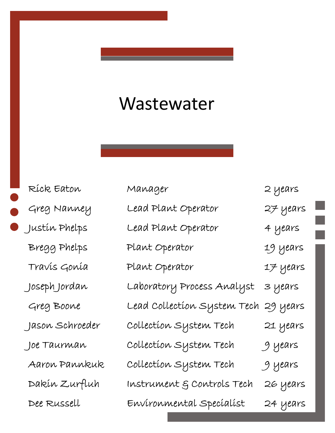### Wastewater

| Ríck Eaton      | Manager                     | 2 years  |
|-----------------|-----------------------------|----------|
| Greg Nanney     | Lead Plant Operator         | 27 years |
| Justín Phelps   | Lead Plant Operator         | 4 years  |
| Bregg Phelps    | Plant Operator              | 19 years |
| Travis Gonia    | Plant Operator              | 17 years |
| Joseph Jordan   | Laboratory Process Analyst  | 3 years  |
| Greg Boone      | Lead Collection System Tech | 29 years |
| Jason Schroeder | Collection System Tech      | 21 years |
| Joe Taurman     | Collection System Tech      | 9 years  |
| Aaron Pannkuk   | Collection System Tech      | 9 years  |
| Dakín Zurfluh   | Instrument & Controls Tech  | 26 years |
| Dee Russell     | Environmental Specialist    | 24 years |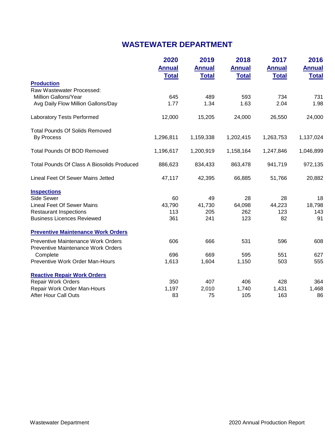### **WASTEWATER DEPARTMENT**

|                                                   | 2020<br><b>Annual</b> | 2019<br><b>Annual</b> | 2018<br><b>Annual</b> | 2017<br><b>Annual</b> | 2016<br><b>Annual</b> |
|---------------------------------------------------|-----------------------|-----------------------|-----------------------|-----------------------|-----------------------|
|                                                   | <b>Total</b>          | <b>Total</b>          | <b>Total</b>          | <b>Total</b>          | <b>Total</b>          |
| <b>Production</b>                                 |                       |                       |                       |                       |                       |
| Raw Wastewater Processed:                         |                       |                       |                       |                       |                       |
| Million Gallons/Year                              | 645                   | 489                   | 593                   | 734                   | 731                   |
| Avg Daily Flow Million Gallons/Day                | 1.77                  | 1.34                  | 1.63                  | 2.04                  | 1.98                  |
| <b>Laboratory Tests Performed</b>                 | 12,000                | 15,205                | 24,000                | 26,550                | 24,000                |
| <b>Total Pounds Of Solids Removed</b>             |                       |                       |                       |                       |                       |
| <b>By Process</b>                                 | 1,296,811             | 1,159,338             | 1,202,415             | 1,263,753             | 1,137,024             |
| <b>Total Pounds Of BOD Removed</b>                | 1,196,617             | 1,200,919             | 1,158,164             | 1,247,846             | 1,046,899             |
| <b>Total Pounds Of Class A Biosolids Produced</b> | 886,623               | 834,433               | 863,478               | 941,719               | 972,135               |
| Lineal Feet Of Sewer Mains Jetted                 | 47,117                | 42,395                | 66,885                | 51,766                | 20,882                |
| <b>Inspections</b>                                |                       |                       |                       |                       |                       |
| Side Sewer                                        | 60                    | 49                    | 28                    | 28                    | 18                    |
| <b>Lineal Feet Of Sewer Mains</b>                 | 43,790                | 41,730                | 64,098                | 44,223                | 18,798                |
| <b>Restaurant Inspections</b>                     | 113                   | 205                   | 262                   | 123                   | 143                   |
| <b>Business Licences Reviewed</b>                 | 361                   | 241                   | 123                   | 82                    | 91                    |
| <b>Preventive Maintenance Work Orders</b>         |                       |                       |                       |                       |                       |
| Preventive Maintenance Work Orders                | 606                   | 666                   | 531                   | 596                   | 608                   |
| Preventive Maintenance Work Orders                |                       |                       |                       |                       |                       |
| Complete                                          | 696                   | 669                   | 595                   | 551                   | 627                   |
| Preventive Work Order Man-Hours                   | 1,613                 | 1,604                 | 1,150                 | 503                   | 555                   |
| <b>Reactive Repair Work Orders</b>                |                       |                       |                       |                       |                       |
| <b>Repair Work Orders</b>                         | 350                   | 407                   | 406                   | 428                   | 364                   |
| Repair Work Order Man-Hours                       | 1,197                 | 2,010                 | 1,740                 | 1,431                 | 1,468                 |
| <b>After Hour Call Outs</b>                       | 83                    | 75                    | 105                   | 163                   | 86                    |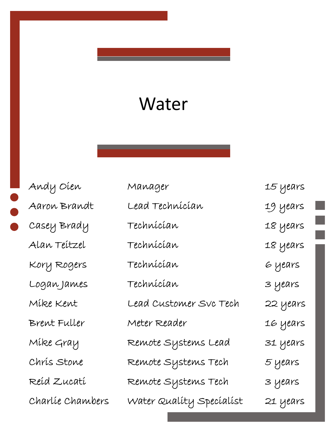### Water

| Andy Oien        | Manager                  | 15 years |
|------------------|--------------------------|----------|
| Aaron Brandt     | Lead Technícían          | 19 years |
| Casey Brady      | Technícían               | 18 years |
| Alan Teitzel     | Technícían               | 18 years |
| Kory Rogers      | Technícían               | 6 years  |
| Logan James      | Technícían               | 3 years  |
| Mike Kent        | Lead Customer Svc Tech   | 22 years |
| Brent Fuller     | Meter Reader             | 16 years |
| Mike Gray        | Remote Systems Lead      | 31 years |
| Chris Stone      | Remote Systems Tech      | 5 years  |
| Reíd Zucatí      | Remote Systems Tech      | 3 years  |
| Charlíe Chambers | Water Quality Specialist | 21 years |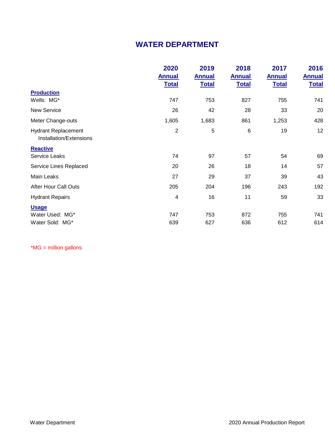#### **WATER DEPARTMENT**

|                                                       | 2020          | 2019          | 2018          | 2017          | 2016          |
|-------------------------------------------------------|---------------|---------------|---------------|---------------|---------------|
|                                                       | <b>Annual</b> | <b>Annual</b> | <b>Annual</b> | <b>Annual</b> | <b>Annual</b> |
|                                                       | <b>Total</b>  | <b>Total</b>  | <b>Total</b>  | <b>Total</b>  | <b>Total</b>  |
| <b>Production</b>                                     |               |               |               |               |               |
| Wells: MG*                                            | 747           | 753           | 827           | 755           | 741           |
| <b>New Service</b>                                    | 26            | 42            | 28            | 33            | 20            |
| Meter Change-outs                                     | 1,605         | 1,683         | 861           | 1,253         | 428           |
| <b>Hydrant Replacement</b><br>Installation/Extensions | 2             | $\sqrt{5}$    | 6             | 19            | 12            |
| <b>Reactive</b>                                       |               |               |               |               |               |
| <b>Service Leaks</b>                                  | 74            | 97            | 57            | 54            | 69            |
| Service Lines Replaced                                | 20            | 26            | 18            | 14            | 57            |
| Main Leaks                                            | 27            | 29            | 37            | 39            | 43            |
| <b>After Hour Call Outs</b>                           | 205           | 204           | 196           | 243           | 192           |
| <b>Hydrant Repairs</b>                                | 4             | 16            | 11            | 59            | 33            |
| <b>Usage</b>                                          |               |               |               |               |               |
| Water Used: MG*                                       | 747           | 753           | 872           | 755           | 741           |
| Water Sold: MG*                                       | 639           | 627           | 636           | 612           | 614           |

\*MG = million gallons